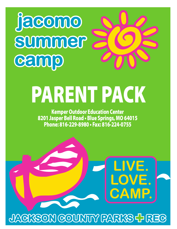## **camp summer jacomo**

# PARENT PACK

Kemper Outdoor Education Center 8201 Jasper Bell Road • Blue Springs, MO 64015 Phone: 816-229-8980 • Fax: 816-224-0755

**LIVE.**

**LOVE.**

**CAMP.**

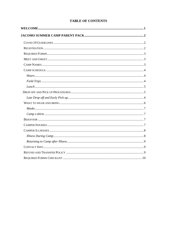#### **TABLE OF CONTENTS**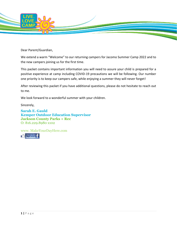

Dear Parent/Guardian,

We extend a warm "Welcome" to our returning campers for Jacomo Summer Camp 2022 and to the new campers joining us for the first time.

This packet contains important information you will need to assure your child is prepared for a positive experience at camp including COVID-19 precautions we will be following. Our number one priority is to keep our campers safe, while enjoying a summer they will never forget!

After reviewing this packet if you have additional questions, please do not hesitate to reach out to me.

We look forward to a wonderful summer with your children.

Sincerely,

**Sarah E. Gauld Kemper Outdoor Education Supervisor Jackson County Parks + Rec** O: 816.229.8980 x102

www. MakeYourDayHere.com

Like Us On F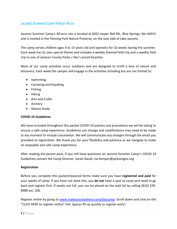Jacomo Summer Camp's 40-acre site is located at 8201 Jasper Bell Rd., Blue Springs, Mo 64015 and is nestled in the Fleming Park Nature Preserve, on the east side of Lake Jacomo.

The camp serves children ages 6 to 13 years old and operates for 10 weeks during the summer. Each week has its own special theme and includes a weekly themed field trip and a weekly field trip to one of Jackson County Parks + Rec's prized beaches.

Most of our camp activities occur outdoors and are designed to instill a love of nature and discovery. Each week the camper will engage in the activities including but are not limited to:

- Swimming
- Canoeing and Kayaking
- Fishing
- Hiking
- Arts and Crafts
- Archery
- Nature Study

#### **COVID-19 Guidelines**

We have included throughout this packet COVID-19 policies and procedures we will be taking to ensure a safe camp experience. Guidelines can change and modifications may need to be made at any moment to include cancelation. We will communicate any changes through the email you provided at registration. We thank you for your flexibility and patience as we navigate to make an enjoyable and safe camp experience.

After reading the parent pack, if you still have questions on Jacomo Summer Camp's COVID-19 Guidelines contact the Camp Director, Sarah Gauld, via kemper@jacksongov.org.

#### **Registration**

Before you complete this packet/required forms make sure you have **registered and paid** for your weeks of camp. If you have not done this, you **do not** have a spot at camp and need to go back and register first. If weeks are full, you can be placed on the wait list by calling (816) 229- 8980 ext. 106.

Register online by going to [www.makeyourdayhere.com/daycamp.](http://www.makeyourdayhere.com/daycamp) Scroll down and click on the "CLICK HERE to register online" link. Spaces fill up quickly so register early!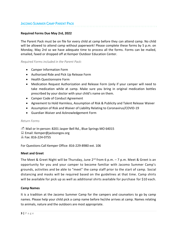#### **Required Forms Due May 2rd, 2022**

The Parent Pack must be on file for every child at camp before they can attend camp. No child will be allowed to attend camp without paperwork! Please complete these forms by 5 p.m. on Monday, May 2rd so we have adequate time to process all the forms. Forms can be mailed, emailed, faxed or dropped off at Kemper Outdoor Education Center.

*Required Forms included in the Parent Pack:*

- Camper Information Form
- Authorized Ride and Pick Up Release Form
- Health Questionnaire Form
- Medication Request Authorization and Release Form (only if your camper will need to take medication while at camp. Make sure you bring in original medication bottles prescribed by your doctor with your child's name on them.
- Camper Code of Conduct Agreement
- Agreement to Hold Harmless, Assumption of Risk & Publicity and Talent Release Waiver
- Assumption of Risk and Waiver of Liability Relating to Coronavirus/COVID-19
- Guardian Waiver and Acknowledgement Form

#### *Return Forms*

 $\mathbb{D}$  Mail or In-person: 8201 Jasper Bell Rd., Blue Springs MO 64015  $\Box$  Email: Kemper@jacksongov.org Fax: 816-224-0755

For Questions Call Kemper Office: 816-229-8980 ext. 106

#### **Meet and Greet**

The Meet & Greet Night will be Thursday, June 2<sup>rd</sup> from 6 p.m. – 7 p.m. Meet & Greet is an opportunity for you and your camper to become familiar with Jacomo Summer Camp's grounds, activities and be able to "meet" the camp staff prior to the start of camp. Social distancing and masks will be required based on the guidelines at that time. Camp shirts will be available for pick up as well as additional shirts available for purchase for \$10 each.

#### **Camp Names**

It is a tradition at the Jacomo Summer Camp for the campers and counselors to go by camp names. Please help your child pick a camp name before he/she arrives at camp. Names relating to animals, nature and the outdoors are most appropriate.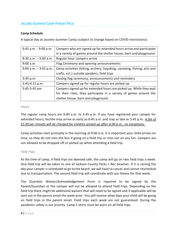#### **Camp Schedule**

A typical day at Jacomo Summer Camp (subject to change based on COVID restrictions):

| 6:45 a.m. - 9:00 a.m.    | Campers who are signed up for extended hours arrive and participate     |
|--------------------------|-------------------------------------------------------------------------|
|                          | in a variety of games around the shelter house, barn and playground.    |
| $8:30$ a.m. $-9:00$ a.m. | Regular hour campers arrive                                             |
| 9:00 a.m.                | Flag Ceremony and opening announcements                                 |
| $9:00$ a.m. $-3:45$ p.m. | Camp activities (hiking, archery, kayaking, canoeing, fishing, arts and |
|                          | crafts, ect.) outside speakers, field trips                             |
| 3:45 p.m.                | Closing flag ceremony, announcements and reminders                      |
| $3:45-4:15 p.m.$         | Campers signed up for regular hours are picked up                       |
| 3:45-5:45 pm             | Campers signed up for extended hours are picked up. While they wait     |
|                          | for their rides, they participate in a variety of games around the      |
|                          | shelter house, barn and playground.                                     |

#### *Hours*

The regular camp hours are 9:00 a.m. to 3:45 p.m. If you have registered your camper for extended hours, he/she may arrive as early as 6:45 a.m. and stay as late as 5:45 p.m. *A fee of \$1.00 per minute will be charged for children picked up after 6:00 p.m., no exceptions.*

Camp activities start promptly in the morning at 9:00 a.m. It is important your child arrives on time, so they do not miss the bus if going on a field trip or miss out on any fun. Campers are not allowed to be dropped off or picked up while attending a field trip.

#### *Field Trips*

At the time of camp, if field trips are deemed safe, the camp will go on two field trips a week. One field trip will be taken to one of Jackson County Parks + Rec beaches. If it is raining the day your camper is scheduled to go to the beach, we will have to cancel and cannot reschedule due to transportation. The second field trip will coordinate with our theme for that week.

The Guardian Waiver/Acknowledgement Form is required to be signed by the Parent/Guardian or the camper will not be allowed to attend field trips. Depending on the field trip there might be additional waivers that will need to be signed and if applicable will be sent out in the parent email the week prior. You will receive what days your child will be going on field trips in the parent email. Field trips each week are not guaranteed. During the pandemic safety is our priority. Camp t-shirts must be worn on all field trips.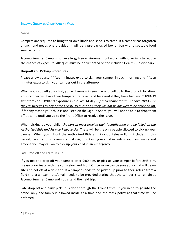#### *Lunch*

Campers are required to bring their own lunch and snacks to camp. If a camper has forgotten a lunch and needs one provided, it will be a pre-packaged box or bag with disposable food service items.

Jacomo Summer Camp is not an allergy free environment but works with guardians to reduce the chance of exposure. Allergies must be documented on the included Health Questionnaire.

#### **Drop-off and Pick-up Procedures**

Please allow yourself fifteen minutes extra to sign your camper in each morning and fifteen minutes extra to sign your camper out in the afternoon.

When you drop off your child, you will remain in your car and pull up to the drop off location. Your camper will have their temperature taken and be asked if they have had any COVID-19 symptoms or COVID-19 exposure in the last 14 days. *If their temperature is above 100.4 F or they answer yes to any of the COVID-19 questions, they will not be allowed to be dropped off.* If for any reason your child is not listed on the Sign-In Sheet, you will not be able to drop them off at camp until you go to the Front Office to resolve the issue.

When picking up your child, *the person must provide their identification and be listed on the Authorized Ride and Pick-up Release List***.** These will be the only people allowed to pick up your camper. When you fill out the Authorized Ride and Pick-up Release Form included in this packet, be sure to list everyone that might pick-up your child including your own name and anyone you may call on to pick up your child in an emergency.

#### Late Drop off and Early Pick up

If you need to drop off your camper after 9:00 a.m. or pick up your camper before 3:45 p.m. please coordinate with the counselors and Front Office so we can be sure your child will be on site and not off at a field trip. If a camper needs to be picked up prior to their return from a field trip, a written note/email needs to be provided stating that the camper is to remain at Jacomo Summer Camp and not attend the field trip.

Late drop off and early pick up is done through the Front Office. If you need to go into the office, only one family is allowed inside at a time and the mask policy at that time will be enforced.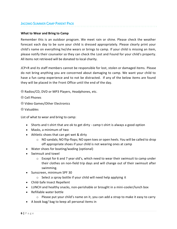#### **What to Wear and Bring to Camp**

Remember this is an outdoor program. We meet rain or shine. Please check the weather forecast each day to be sure your child is dressed appropriately. Please clearly print your child's name on everything he/she wears or brings to camp. If your child is missing an item, please notify their counselor so they can check the Lost and Found for your child's property. All items not retrieved will be donated to local charity.

JCP+R and its staff members cannot be responsible for lost, stolen or damaged items. Please do not bring anything you are concerned about damaging to camp. We want your child to have a fun camp experience and to not be distracted. If any of the below items are found they will be placed in the Front Office until the end of the day.

- $\odot$  Radios/CD, DVD or MP3 Players, Headphones, etc.
- Cell Phones
- Video Games/Other Electronics
- Valuables

List of what to wear and bring to camp:

- Shorts and t-shirt that are ok to get dirty camp t-shirt is always a good option
- Masks, a minimum of two
- Athletic shoes that can get wet & dirty
	- $\circ$  NO sandals; NO flip-flops; NO open toes or open heels. You will be called to drop off appropriate shoes if your child is not wearing ones at camp
- Water shoes for boating/wading (optional)
- Swimsuit and towel
	- $\circ$  Except for 6 and 7 year old's, which need to wear their swimsuit to camp under their clothes on non-field trip days and will change out of their swimsuit after swimming.
- Sunscreen, minimum SPF 30
	- o Select a spray bottle if your child will need help applying it
- Child-Safe Insect Repellent
- LUNCH and healthy snacks, non-perishable or brought in a mini-cooler/lunch box
- Refillable water bottle
	- o Please put your child's name on it, you can add a strap to make it easy to carry
- A book bag/ bag to keep all personal items in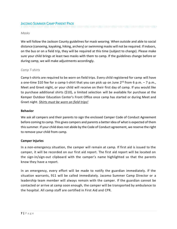#### *Masks*

We will follow the Jackson County guidelines for mask wearing. When outside and able to social distance (canoeing, kayaking, hiking, archery) or swimming masks will not be required. If indoors, on the bus or on a field trip, they will be required at this time (subject to change). Please make sure your child brings at least two masks with them to camp. If the guidelines change before or during camp, we will make adjustments accordingly.

#### *Camp T-shirts*

Camp t-shirts are required to be worn on field trips. Every child registered for camp will have a one-time \$10 fee for a camp t-shirt that you can pick up on June 2<sup>rd</sup> from 6 p.m. – 7 p.m., Meet and Greet night, or your child will receive on their first day of camp. If you would like to purchase additional shirts (\$10), a limited selection will be available for purchase at the Kemper Outdoor Education Center's Front Office once camp has started or during Meet and Greet night. *Shirts must be worn on field trips!*

#### **Behavior**

We ask all campers and their parents to sign the enclosed Camper Code of Conduct Agreement before coming to camp. This gives campers and parents a better idea of what is expected of them this summer. If your child does not abide by the Code of Conduct agreement, we reserve the right to remove your child from camp.

#### **Camper Injuries**

In a non-emergency situation, the camper will remain at camp. If first aid is issued to the camper, it will be recorded on our first aid report. The first aid report will be located on the sign-in/sign-out clipboard with the camper's name highlighted so that the parents know they have a report.

In an emergency, every effort will be made to notify the guardian immediately. If the situation warrants, 911 will be called immediately. Jacomo Summer Camp Director or a leadership team member will always remain with the camper. If the guardian cannot be contacted or arrive at camp soon enough, the camper will be transported by ambulance to the hospital. All camp staff are certified in First Aid and CPR.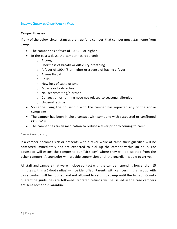#### **Camper Illnesses**

If any of the below circumstances are true for a camper, that camper must stay home from camp:

- The camper has a fever of 100.4°F or higher
- In the past 3 days, the camper has reported:
	- o A cough
	- o Shortness of breath or difficulty breathing
	- o A fever of 100.4°F or higher or a sense of having a fever
	- o A sore throat
	- o Chills
	- o New loss of taste or smell
	- o Muscle or body aches
	- o Nausea/vomiting/diarrhea
	- o Congestion or running nose not related to seasonal allergies
	- o Unusual fatigue
- Someone living the household with the camper has reported any of the above symptoms.
- The camper has been in close contact with someone with suspected or confirmed COVID-19.
- The camper has taken medication to reduce a fever prior to coming to camp.

#### *Illness During Camp*

If a camper becomes sick or presents with a fever while at camp their guardian will be contacted immediately and are expected to pick up the camper within an hour. The counselor will escort the camper to our "sick bay" where they will be isolated from the other campers. A counselor will provide supervision until the guardian is able to arrive.

All staff and campers that were in close contact with the camper (spending longer than 15 minutes within a 6-foot radius) will be identified. Parents with campers in that group with close contact will be notified and not allowed to return to camp until the Jackson County quarantine guidelines are followed. Prorated refunds will be issued in the case campers are sent home to quarantine.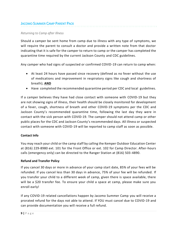#### *Returning to Camp after Illness*

Should a camper be sent home from camp due to illness with any type of symptoms, we will require the parent to consult a doctor and provide a written note from that doctor indicating that it is safe for the camper to return to camp or the camper has completed the quarantine time required by the current Jackson County and CDC guidelines.

Any camper who had signs of suspected or confirmed COVID-19 can return to camp when:

- At least 24 hours have passed since recovery (defined as no fever without the use of medications and improvement in respiratory signs like cough and shortness of breath); **AND**
- Have completed the recommended quarantine period per CDC and local guidelines.

If a camper believes they have had close contact with someone with COVID-19 but they are not showing signs of illness, their health should be closely monitored for development of a fever, cough, shortness of breath and other COVID-19 symptoms per the CDC and Jackson County's recommended quarantine time, following the last day they were in contact with the sick person with COVID-19. The camper should not attend camp or other public places for the CDC and Jackson County's recommended days. All illness or suspected contact with someone with COVID-19 will be reported to camp staff as soon as possible.

#### **Contact Info**

You may reach your child or the camp staff by calling the Kemper Outdoor Education Center at (816) 229-8980 ext. 101 for the Front Office or ext. 102 for Camp Director. After-hours calls (emergency only) can be directed to the Ranger Station at (816) 503-4890.

#### **Refund and Transfer Policy**

If you cancel 30 days or more in advance of your camp start date, 85% of your fees will be refunded. If you cancel less than 30 days in advance, 75% of your fee will be refunded. If you transfer your child to a different week of camp, given there is space available, there will be a \$20 transfer fee. To ensure your child a space at camp, please make sure you enroll early!

If any COVID-19 related cancellations happen by Jacomo Summer Camp you will receive a prorated refund for the days not able to attend. If YOU must cancel due to COVID-19 and can provide documentation you will receive a full refund.